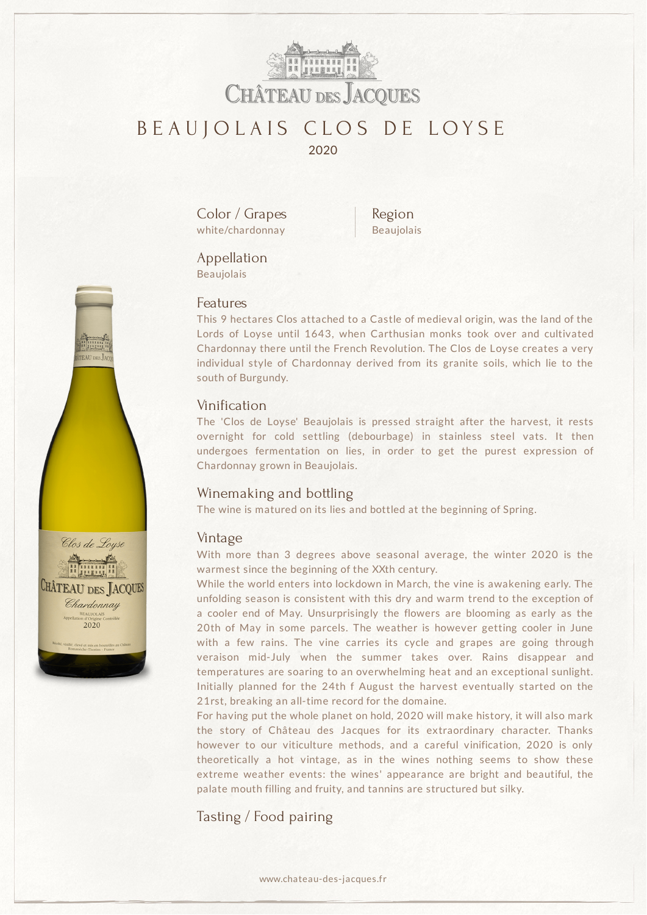

# BEAUJOLAIS CLOS DE LOYSE 2020

Color / Grapes white/chardonnay

Region Beaujolais

### Appellation Beaujolais

### Features

This 9 hectares Clos attached to a Castle of medieval origin, was the land of the Lords of Loyse until 1643, when Carthusian monks took over and cultivated Chardonnay there until the French Revolution. The Clos de Loyse creates a very individual style of Chardonnay derived from its granite soils, which lie to the south of Burgundy.

## Vinification

The 'Clos de Loyse' Beaujolais is pressed straight after the harvest, it rests overnight for cold settling (debourbage) in stainless steel vats. It then undergoes fermentation on lies, in order to get the purest expression of Chardonnay grown in Beaujolais.

## Winemaking and bottling

The wine is matured on its lies and bottled at the beginning of Spring.

#### Vintage

With more than 3 degrees above seasonal average, the winter 2020 is the warmest since the beginning of the XXth century.

While the world enters into lockdown in March, the vine is awakening early. The unfolding season is consistent with this dry and warm trend to the exception of a cooler end of May. Unsurprisingly the flowers are blooming as early as the 20th of May in some parcels. The weather is however getting cooler in June with a few rains. The vine carries its cycle and grapes are going through veraison mid-July when the summer takes over. Rains disappear and temperatures are soaring to an overwhelming heat and an exceptional sunlight. Initially planned for the 24th f August the harvest eventually started on the 21rst, breaking an all-time record for the domaine.

For having put the whole planet on hold, 2020 will make history, it will also mark the story of Château des Jacques for its extraordinary character. Thanks however to our viticulture methods, and a careful vinification, 2020 is only theoretically a hot vintage, as in the wines nothing seems to show these extreme weather events: the wines' appearance are bright and beautiful, the palate mouth filling and fruity, and tannins are structured but silky.

Tasting / Food pairing